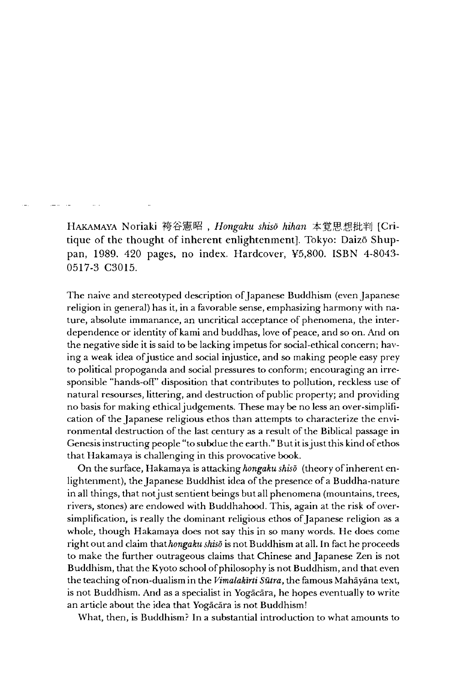HAKAMAYA Noriaki 袴谷憲昭, *Hongaku shisō hihan* 本覚思想批判 [Critique of the thought of inherent enlightenment]. Tokyo: Daizo Shuppan, 1989. 420 pages, no index. Hardcover, ¥5,800. ISBN 4-8043 0517-3 C3015.

The naive and stereotyped description of Japanese Buddhism (even Japanese religion in general) has it, in a favorable sense, emphasizing harmony with nature, absolute immanance, an uncritical acceptance of phenomena, the interdependence or identity of kami and buddhas, love of peace, and so on. And on the negative side it is said to be lacking impetus for social-ethical concern; having a weak idea of justice and social injustice, and so making people easy prey to political propoganda and social pressures to conform; encouraging an irresponsible "hands-ofF' disposition that contributes to pollution, reckless use of natural resourses littering, and destruction of public property; and providing no basis for making ethical judgements. These may be no less an over-simplification of the Japanese religious ethos than attempts to characterize the environmental destruction of the last century as a result of the Biblical passage in Genesis instructing people "to subdue the earth." But it is just this kind of ethos that Hakamaya is challenging in this provocative book.

On the surface, Hakamaya is attacking *hongaku shiso* (theory of inherent enlightenment), the Japanese Buddhist idea of the presence of a Buddha-nature in all things, that not just sentient beings but all phenomena (mountains, trees, rivers, stones) are endowed with Buddhahood. This, again at the risk of oversimplification, is really the dominant religious ethos of Japanese religion as a whole, though Hakamaya does not say this in so many words. He does come right out and claim *that hongaku shiso* is not Buddhism at all. In fact he proceeds to make the further outrageous claims that Chinese and Japanese Zen is not Buddhism, that the Kyoto school of philosophy is not Buddhism, and that even the teaching of non-dualism in the *Vimalakirti Sutra,* the famous Mahayana text, is not Buddhism. And as a specialist in Yogacara, he hopes eventually to write an article about the idea that Yogacara is not Buddhism!

What, then, is Buddhism? In a substantial introduction to what amounts to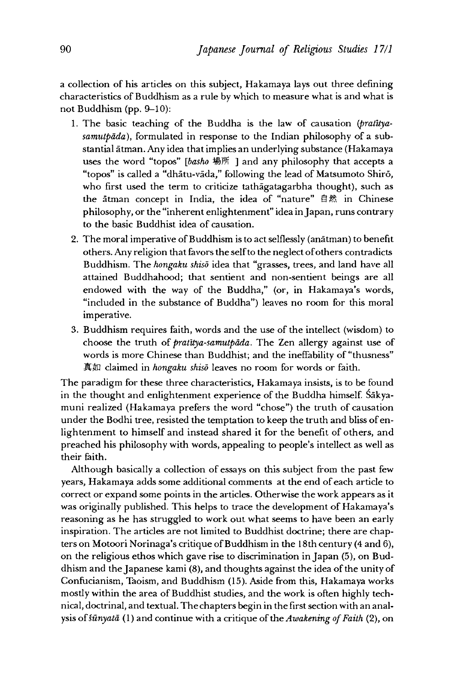a collection of his articles on this subject, Hakamaya lays out three defining characteristics of Buddhism as a rule by which to measure what is and what is not Buddhism (pp. 9-10):

- 1 .The basic teaching of the Buddha is the law of causation *(pratltyasamutpdda),* formulated in response to the Indian philosophy of a substantial atman. Any idea that implies an underlying substance (Hakamaya uses the word "topos" [basho 場所 ] and any philosophy that accepts a "topos" is called a "dhātu-vāda," following the lead of Matsumoto Shirō, who first used the term to criticize tathagatagarbha thought), such as the atman concept in India, the idea of "nature" 自然 in Chinese philosophy, or the "inherent enlightenment" idea in Japan, runs contrary to the basic Buddhist idea of causation.
- 2. The moral imperative of Buddhism is to act selflessly (anatman) to benefit others. Any religion that favors the self to the neglect of others contradicts Buddhism. The *hongaku shisō* idea that "grasses, trees, and land have all attained Buddhahood; that sentient and non-sentient beings are all endowed with the way of the Buddha," (or, in Hakamaya's words, "included in the substance of Buddha") leaves no room for this moral imperative.
- 3. Buddhism requires faith, words and the use of the intellect (wisdom) to choose the truth of *pralttya-samulpdda*. The Zen allergy against use of words is more Chinese than Buddhist; and the ineffability of "thusness" 真女ロ claimed in *hongaku shiso* leaves no room for words or faith.

The paradigm for these three characteristics, Hakamaya insists, is to be Found in the thought and enlightenment experience of the Buddha himself. Sakyamuni realized (Hakamaya prefers the word "chose") the truth of causation under the Bodhi tree, resisted the temptation to keep the truth and bliss of enlightenment to himself and instead shared it for the benefit of others, and preached his philosophy with words, appealing to people's intellect as well as their faith.

Although basically a collection of essays on this subject from the past few years, Hakamaya adds some additional comments at the end of each article to correct or expand some points in the articles. Otherwise the work appears as it was originally published. This helps to trace the development of Hakamaya's reasoning as he has struggled to work out what seems to have been an early inspiration. The articles are not limited to Buddhist doctrine; there are chapters on Motoori Norinaga's critique of Buddhism in the 18 th century (4 and 6), on the religious ethos which gave rise to discrimination in Japan (5), on Buddhism and the Japanese kami  $(8)$ , and thoughts against the idea of the unity of Confucianism, Taoism, and Buddhism (15). Aside from this, Hakamaya works mostly within the area of Buddhist studies, and the work is often highly technical, doctrinal, and textual. The chapters begin in the first section with an analysis of *sunyatd* (1)and continue with a critique of the *Awakening of Faith* (2), on